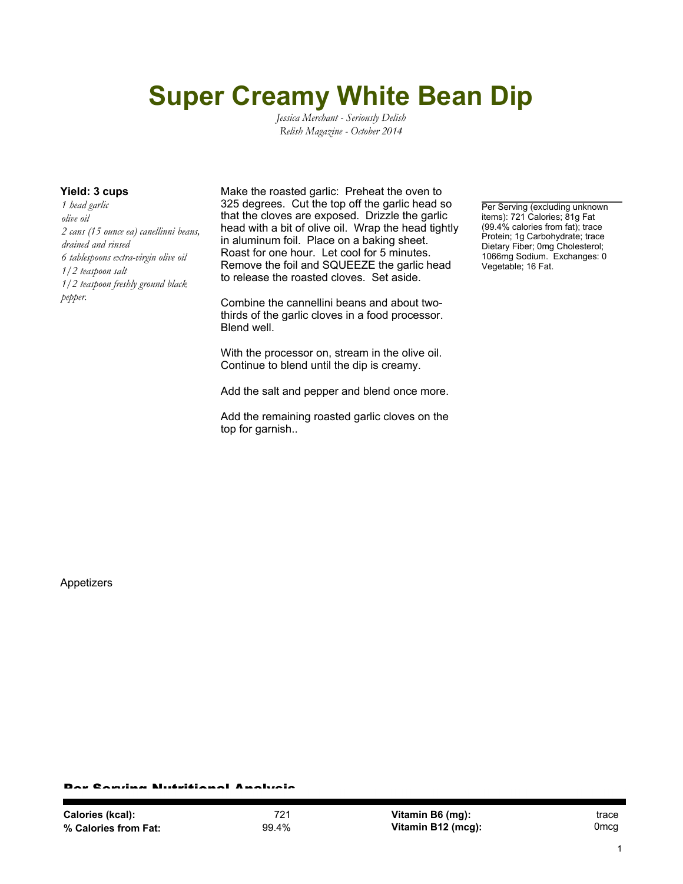## **Super Creamy White Bean Dip**

*Jessica Merchant - Seriously Delish Relish Magazine - October 2014*

*1 head garlic olive oil 2 cans (15 ounce ea) canellinni beans, drained and rinsed 6 tablespoons extra-virgin olive oil 1/2 teaspoon salt 1/2 teaspoon freshly ground black pepper.*

**Yield: 3 cups** Make the roasted garlic: Preheat the oven to 325 degrees. Cut the top off the garlic head so that the cloves are exposed. Drizzle the garlic head with a bit of olive oil. Wrap the head tightly in aluminum foil. Place on a baking sheet. Roast for one hour. Let cool for 5 minutes. Remove the foil and SQUEEZE the garlic head to release the roasted cloves. Set aside.

> Combine the cannellini beans and about twothirds of the garlic cloves in a food processor. Blend well.

> With the processor on, stream in the olive oil. Continue to blend until the dip is creamy.

Add the salt and pepper and blend once more.

Add the remaining roasted garlic cloves on the top for garnish..

Per Serving (excluding unknown items): 721 Calories; 81g Fat (99.4% calories from fat); trace Protein; 1g Carbohydrate; trace Dietary Fiber; 0mg Cholesterol; 1066mg Sodium. Exchanges: 0 Vegetable; 16 Fat.

Appetizers

r Candaa Nutritianal Analysis

**Vitamin B6 (mg):** trace **Vitamin B12 (mcg):** 0mcg